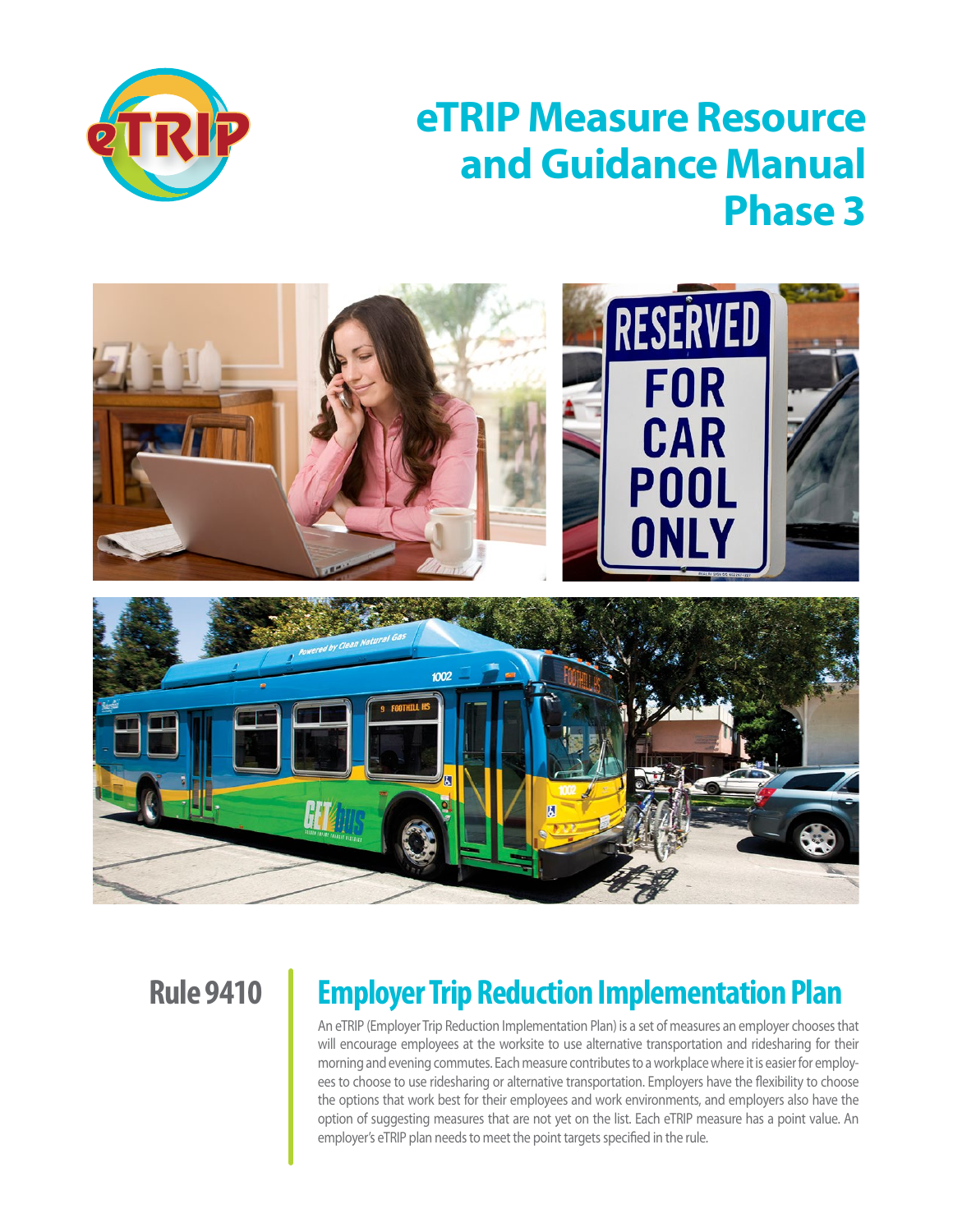

# **eTRIP Measure Resource and Guidance Manual Phase 3**



**Rule 9410** 

# **Employer Trip Reduction Implementation Plan**

An eTRIP (Employer Trip Reduction Implementation Plan) is a set of measures an employer chooses that will encourage employees at the worksite to use alternative transportation and ridesharing for their morning and evening commutes. Each measure contributes to a workplace where it is easier for employees to choose to use ridesharing or alternative transportation. Employers have the flexibility to choose the options that work best for their employees and work environments, and employers also have the option of suggesting measures that are not yet on the list. Each eTRIP measure has a point value. An employer's eTRIP plan needs to meet the point targets specified in the rule.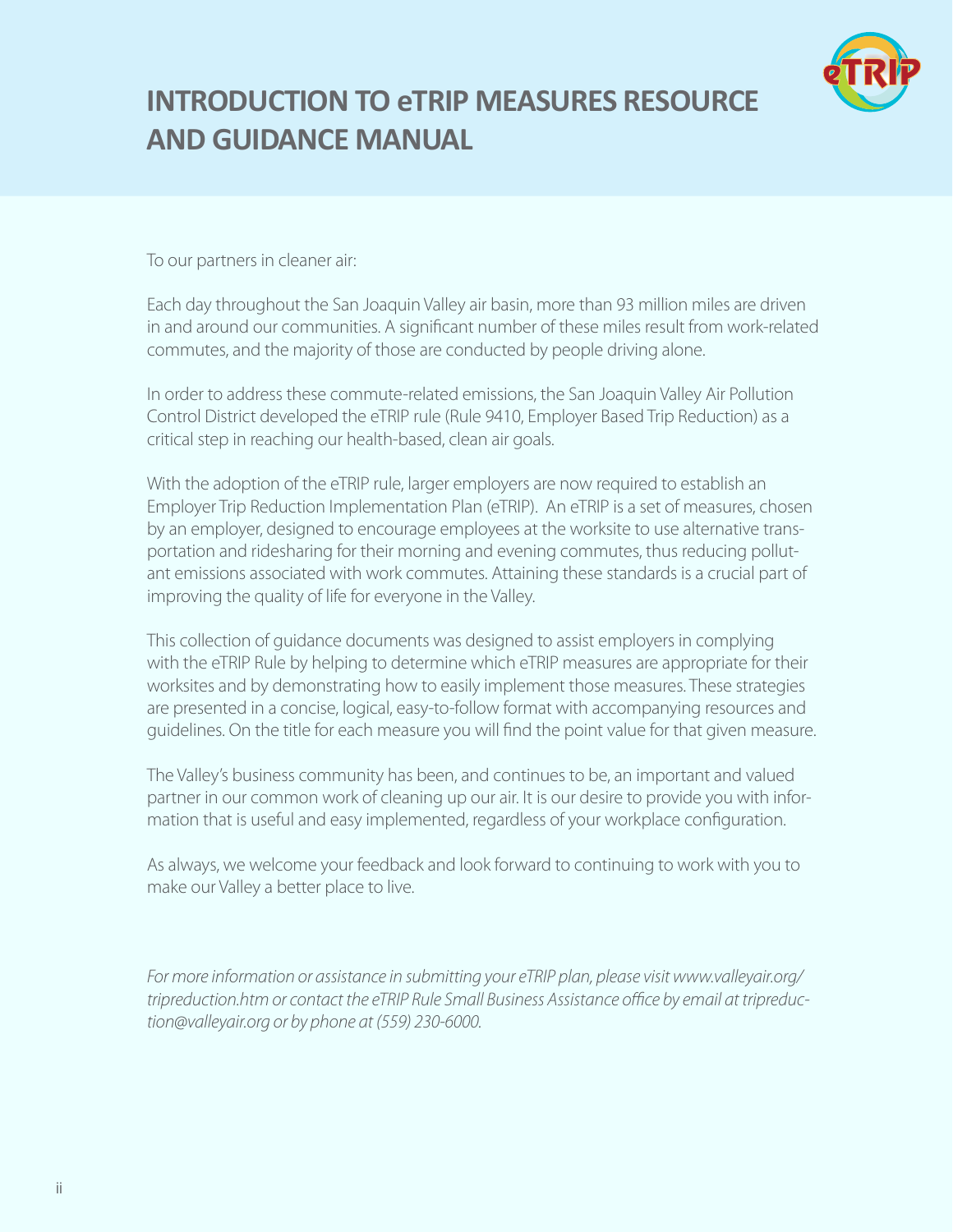

# **INTRODUCTION TO eTRIP MEASURES RESOURCE AND GUIDANCE MANUAL**

To our partners in cleaner air:

Each day throughout the San Joaquin Valley air basin, more than 93 million miles are driven in and around our communities. A significant number of these miles result from work-related commutes, and the majority of those are conducted by people driving alone.

In order to address these commute-related emissions, the San Joaquin Valley Air Pollution Control District developed the eTRIP rule (Rule 9410, Employer Based Trip Reduction) as a critical step in reaching our health-based, clean air goals.

With the adoption of the eTRIP rule, larger employers are now required to establish an Employer Trip Reduction Implementation Plan (eTRIP). An eTRIP is a set of measures, chosen by an employer, designed to encourage employees at the worksite to use alternative transportation and ridesharing for their morning and evening commutes, thus reducing pollutant emissions associated with work commutes. Attaining these standards is a crucial part of improving the quality of life for everyone in the Valley.

This collection of guidance documents was designed to assist employers in complying with the eTRIP Rule by helping to determine which eTRIP measures are appropriate for their worksites and by demonstrating how to easily implement those measures. These strategies are presented in a concise, logical, easy-to-follow format with accompanying resources and guidelines. On the title for each measure you will find the point value for that given measure.

The Valley's business community has been, and continues to be, an important and valued partner in our common work of cleaning up our air. It is our desire to provide you with information that is useful and easy implemented, regardless of your workplace configuration.

As always, we welcome your feedback and look forward to continuing to work with you to make our Valley a better place to live.

*For more information or assistance in submitting your eTRIP plan, please visit www.valleyair.org/ tripreduction.htm or contact the eTRIP Rule Small Business Assistance office by email at tripreduction@valleyair.org or by phone at (559) 230-6000.*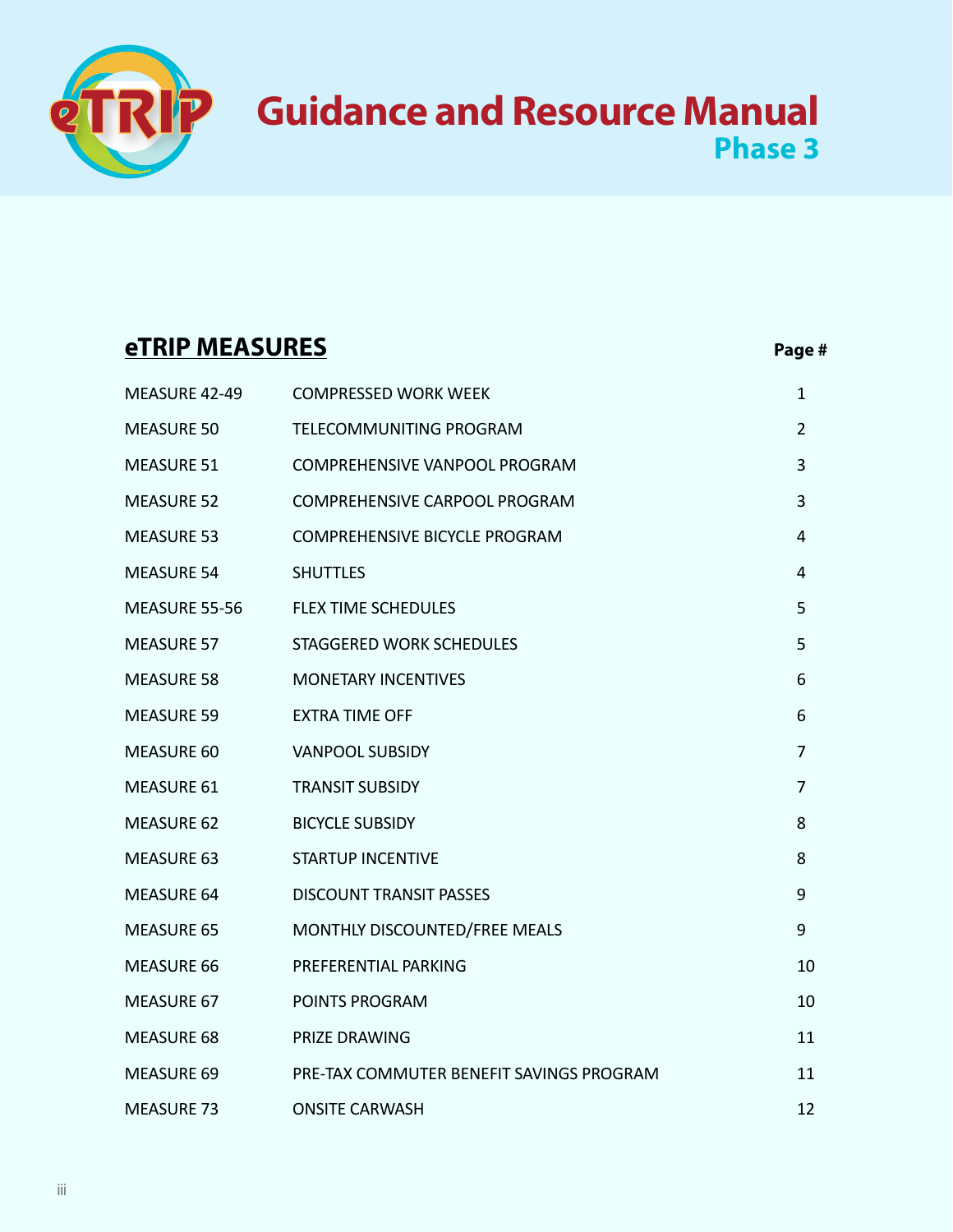# **Guidance and Resource Manual Phase 3**

# **eTRIP MEASURES** Page #

| MEASURE 42-49     | <b>COMPRESSED WORK WEEK</b>              | 1              |
|-------------------|------------------------------------------|----------------|
| <b>MEASURE 50</b> | TELECOMMUNITING PROGRAM                  | $\overline{2}$ |
| <b>MEASURE 51</b> | COMPREHENSIVE VANPOOL PROGRAM            | 3              |
| <b>MEASURE 52</b> | <b>COMPREHENSIVE CARPOOL PROGRAM</b>     | 3              |
| <b>MEASURE 53</b> | <b>COMPREHENSIVE BICYCLE PROGRAM</b>     | 4              |
| <b>MEASURE 54</b> | <b>SHUTTLES</b>                          | 4              |
| MEASURE 55-56     | <b>FLEX TIME SCHEDULES</b>               | 5              |
| <b>MEASURE 57</b> | <b>STAGGERED WORK SCHEDULES</b>          | 5              |
| <b>MEASURE 58</b> | <b>MONETARY INCENTIVES</b>               | 6              |
| <b>MEASURE 59</b> | <b>EXTRA TIME OFF</b>                    | 6              |
| <b>MEASURE 60</b> | <b>VANPOOL SUBSIDY</b>                   | 7              |
| <b>MEASURE 61</b> | <b>TRANSIT SUBSIDY</b>                   | 7              |
| <b>MEASURE 62</b> | <b>BICYCLE SUBSIDY</b>                   | 8              |
| <b>MEASURE 63</b> | <b>STARTUP INCENTIVE</b>                 | 8              |
| <b>MEASURE 64</b> | <b>DISCOUNT TRANSIT PASSES</b>           | 9              |
| <b>MEASURE 65</b> | MONTHLY DISCOUNTED/FREE MEALS            | 9              |
| <b>MEASURE 66</b> | PREFERENTIAL PARKING                     | 10             |
| <b>MEASURE 67</b> | POINTS PROGRAM                           | 10             |
| <b>MEASURE 68</b> | <b>PRIZE DRAWING</b>                     | 11             |
| <b>MEASURE 69</b> | PRE-TAX COMMUTER BENEFIT SAVINGS PROGRAM | 11             |
| <b>MEASURE 73</b> | <b>ONSITE CARWASH</b>                    | 12             |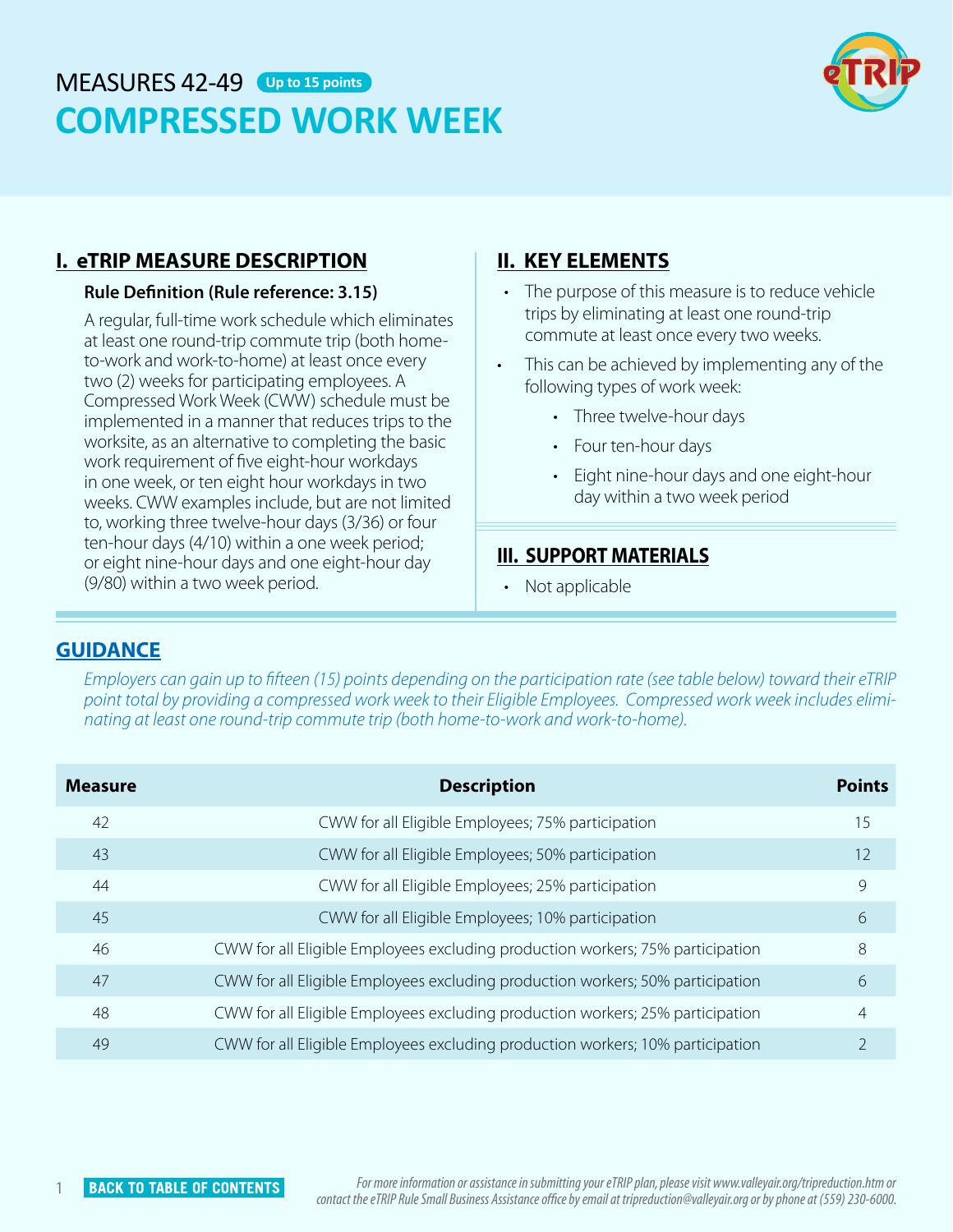# <span id="page-3-0"></span>MEASURES 42-49 **Up to 15 points COMPRESSED WORK WEEK**



#### **I. eTRIP MEASURE DESCRIPTION**

#### **Rule Definition (Rule reference: 3.15)**

A regular, full-time work schedule which eliminates at least one round-trip commute trip (both hometo-work and work-to-home) at least once every two (2) weeks for participating employees. A Compressed Work Week (CWW) schedule must be implemented in a manner that reduces trips to the worksite, as an alternative to completing the basic work requirement of five eight-hour workdays in one week, or ten eight hour workdays in two weeks. CWW examples include, but are not limited to, working three twelve-hour days (3/36) or four ten-hour days (4/10) within a one week period; or eight nine-hour days and one eight-hour day (9/80) within a two week period.

#### **II. KEY ELEMENTS**

- The purpose of this measure is to reduce vehicle trips by eliminating at least one round-trip commute at least once every two weeks.
- This can be achieved by implementing any of the following types of work week:
	- Three twelve-hour days
	- Four ten-hour days
	- Eight nine-hour days and one eight-hour day within a two week period

#### **III. SUPPORT MATERIALS**

• Not applicable

#### **GUIDANCE**

*Employers can gain up to fifteen (15) points depending on the participation rate (see table below) toward their eTRIP point total by providing a compressed work week to their Eligible Employees. Compressed work week includes eliminating at least one round-trip commute trip (both home-to-work and work-to-home).* 

| <b>Measure</b> | <b>Description</b>                                                             | <b>Points</b>  |
|----------------|--------------------------------------------------------------------------------|----------------|
| 42             | CWW for all Eligible Employees; 75% participation                              | 15             |
| 43             | CWW for all Eligible Employees; 50% participation                              | 12             |
| 44             | CWW for all Eligible Employees; 25% participation                              | 9              |
| 45             | CWW for all Eligible Employees; 10% participation                              | 6              |
| 46             | CWW for all Eligible Employees excluding production workers; 75% participation | 8              |
| 47             | CWW for all Eligible Employees excluding production workers; 50% participation | 6              |
| 48             | CWW for all Eligible Employees excluding production workers; 25% participation | $\overline{4}$ |
| 49             | CWW for all Eligible Employees excluding production workers; 10% participation | $\overline{2}$ |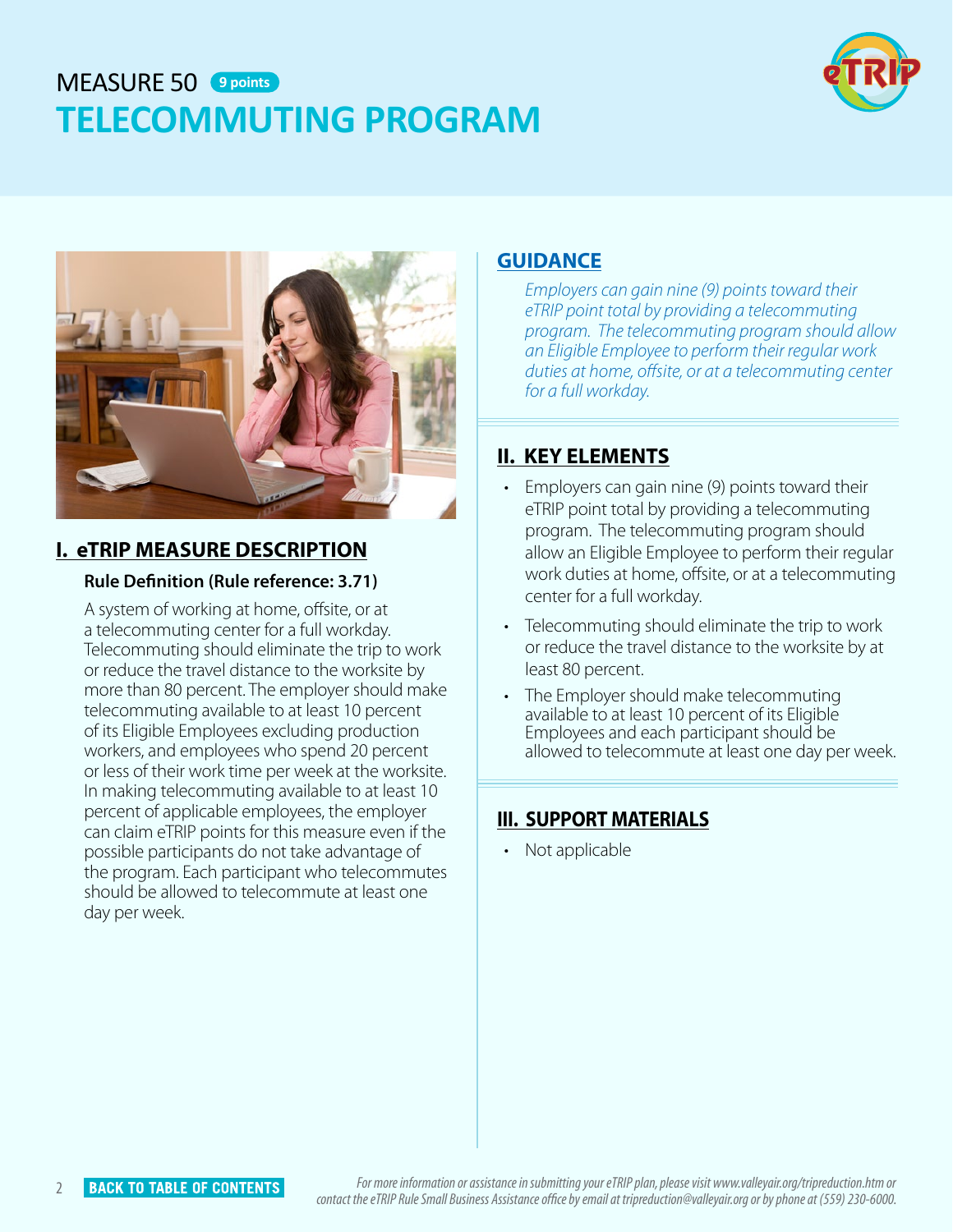# <span id="page-4-0"></span>MEASURE 50 **9 pointsTELECOMMUTING PROGRAM**





### **I. eTRIP MEASURE DESCRIPTION**

#### **Rule Definition (Rule reference: 3.71)**

A system of working at home, offsite, or at a telecommuting center for a full workday. Telecommuting should eliminate the trip to work or reduce the travel distance to the worksite by more than 80 percent. The employer should make telecommuting available to at least 10 percent of its Eligible Employees excluding production workers, and employees who spend 20 percent or less of their work time per week at the worksite. In making telecommuting available to at least 10 percent of applicable employees, the employer can claim eTRIP points for this measure even if the possible participants do not take advantage of the program. Each participant who telecommutes should be allowed to telecommute at least one day per week.

#### **GUIDANCE**

*Employers can gain nine (9) points toward their eTRIP point total by providing a telecommuting program. The telecommuting program should allow an Eligible Employee to perform their regular work duties at home, offsite, or at a telecommuting center for a full workday.* 

### **II. KEY ELEMENTS**

- Employers can gain nine (9) points toward their eTRIP point total by providing a telecommuting program. The telecommuting program should allow an Eligible Employee to perform their regular work duties at home, offsite, or at a telecommuting center for a full workday.
- Telecommuting should eliminate the trip to work or reduce the travel distance to the worksite by at least 80 percent.
- The Employer should make telecommuting available to at least 10 percent of its Eligible Employees and each participant should be allowed to telecommute at least one day per week.

### **III. SUPPORT MATERIALS**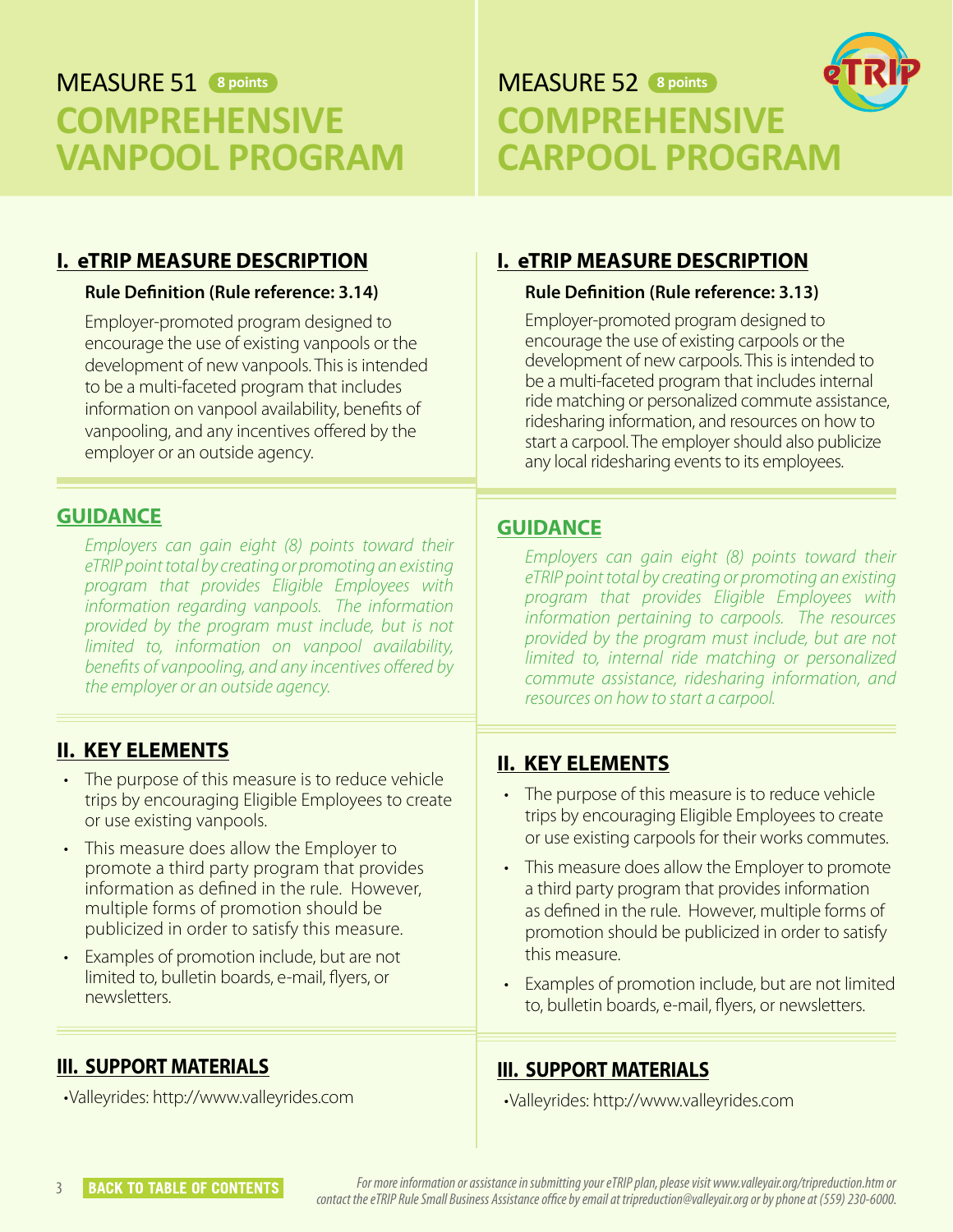# <span id="page-5-0"></span>**MEASURE 51 8 points COMPREHENSIVE VANPOOL PROGRAM**



### **I. eTRIP MEASURE DESCRIPTION**

#### **Rule Definition (Rule reference: 3.14)**

Employer-promoted program designed to encourage the use of existing vanpools or the development of new vanpools. This is intended to be a multi-faceted program that includes information on vanpool availability, benefits of vanpooling, and any incentives offered by the employer or an outside agency.

### **GUIDANCE**

*Employers can gain eight (8) points toward their eTRIP point total by creating or promoting an existing program that provides Eligible Employees with information regarding vanpools. The information provided by the program must include, but is not limited to, information on vanpool availability, benefits of vanpooling, and any incentives offered by the employer or an outside agency.* 

## **II. KEY ELEMENTS**

- The purpose of this measure is to reduce vehicle trips by encouraging Eligible Employees to create or use existing vanpools.
- This measure does allow the Employer to promote a third party program that provides information as defined in the rule. However, multiple forms of promotion should be publicized in order to satisfy this measure.
- Examples of promotion include, but are not limited to, bulletin boards, e-mail, flyers, or newsletters.

## **III. SUPPORT MATERIALS**

•Valleyrides: http://www.valleyrides.com

### **I. eTRIP MEASURE DESCRIPTION**

#### **Rule Definition (Rule reference: 3.13)**

Employer-promoted program designed to encourage the use of existing carpools or the development of new carpools. This is intended to be a multi-faceted program that includes internal ride matching or personalized commute assistance, ridesharing information, and resources on how to start a carpool. The employer should also publicize any local ridesharing events to its employees.

### **GUIDANCE**

*Employers can gain eight (8) points toward their eTRIP point total by creating or promoting an existing program that provides Eligible Employees with information pertaining to carpools. The resources provided by the program must include, but are not limited to, internal ride matching or personalized commute assistance, ridesharing information, and resources on how to start a carpool.* 

## **II. KEY ELEMENTS**

- The purpose of this measure is to reduce vehicle trips by encouraging Eligible Employees to create or use existing carpools for their works commutes.
- This measure does allow the Employer to promote a third party program that provides information as defined in the rule. However, multiple forms of promotion should be publicized in order to satisfy this measure.
- Examples of promotion include, but are not limited to, bulletin boards, e-mail, flyers, or newsletters.

### **III. SUPPORT MATERIALS**

•Valleyrides: http://www.valleyrides.com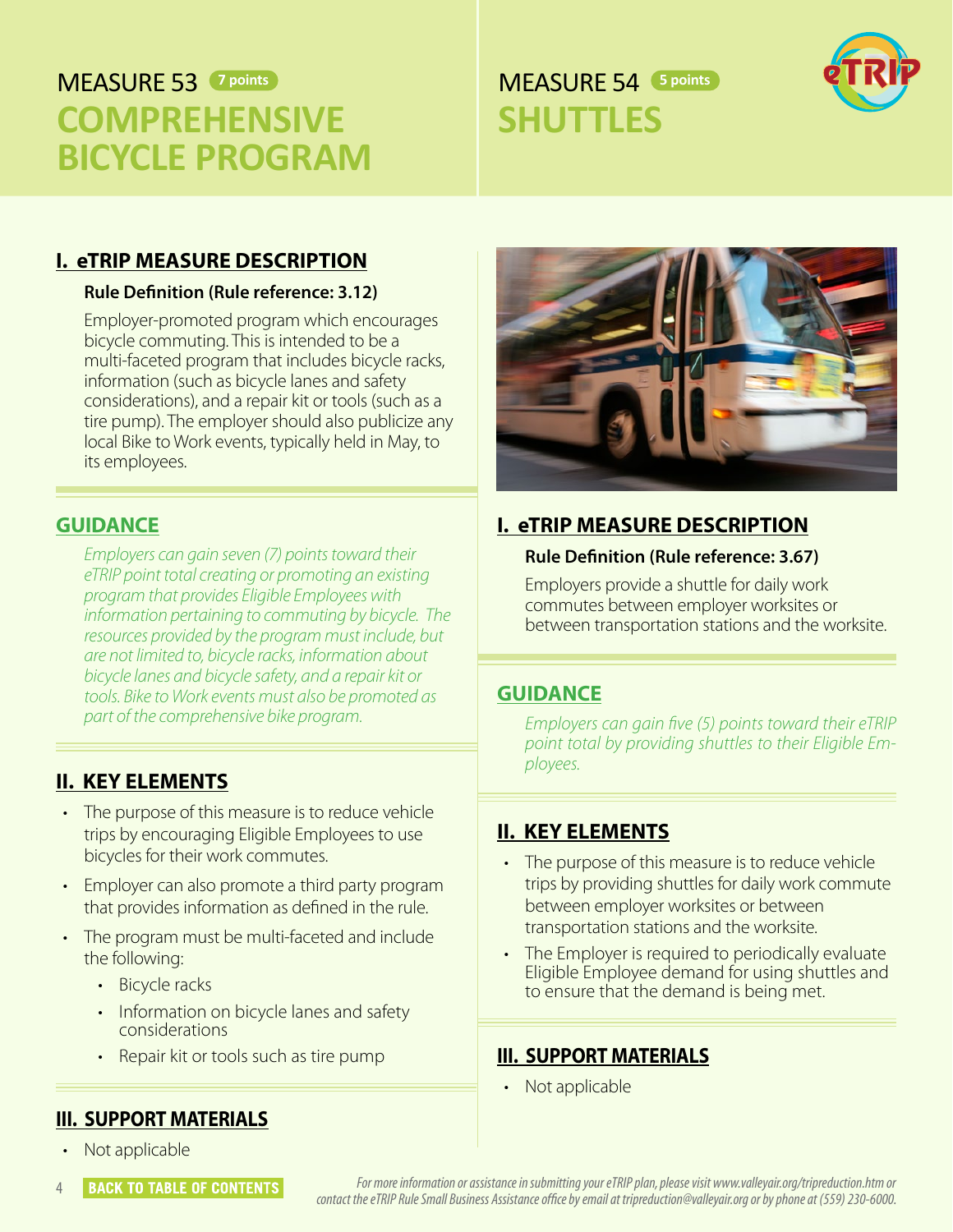# <span id="page-6-0"></span>**MFASURF 53** 7 points

# **COMPREHENSIVE BICYCLE PROGRAM**

# **7 points 54 5 points 54 5 points SHUTTLES**



#### **I. eTRIP MEASURE DESCRIPTION**

#### **Rule Definition (Rule reference: 3.12)**

Employer-promoted program which encourages bicycle commuting. This is intended to be a multi-faceted program that includes bicycle racks, information (such as bicycle lanes and safety considerations), and a repair kit or tools (such as a tire pump). The employer should also publicize any local Bike to Work events, typically held in May, to its employees.

#### **GUIDANCE**

*Employers can gain seven (7) points toward their eTRIP point total creating or promoting an existing program that provides Eligible Employees with information pertaining to commuting by bicycle. The resources provided by the program must include, but are not limited to, bicycle racks, information about bicycle lanes and bicycle safety, and a repair kit or tools. Bike to Work events must also be promoted as part of the comprehensive bike program.* 

#### **II. KEY ELEMENTS**

- The purpose of this measure is to reduce vehicle trips by encouraging Eligible Employees to use bicycles for their work commutes.
- Employer can also promote a third party program that provides information as defined in the rule.
- The program must be multi-faceted and include the following:
	- Bicycle racks
	- Information on bicycle lanes and safety considerations
	- Repair kit or tools such as tire pump

#### **III. SUPPORT MATERIALS**

• Not applicable



#### **GUIDANCE**

*Employers can gain five (5) points toward their eTRIP point total by providing shuttles to their Eligible Employees.* 

#### **II. KEY ELEMENTS**

- The purpose of this measure is to reduce vehicle trips by providing shuttles for daily work commute between employer worksites or between transportation stations and the worksite.
- The Employer is required to periodically evaluate Eligible Employee demand for using shuttles and to ensure that the demand is being met.

#### **III. SUPPORT MATERIALS**

• Not applicable

**BACK TO TABLE OF CONTENTS** *For more information or assistance in submitting your eTRIP plan, please visit www.valleyair.org/tripreduction.htm or contact the eTRIP Rule Small Business Assistance office by email at tripreduction@valleyair.org or by phone at (559) 230-6000.*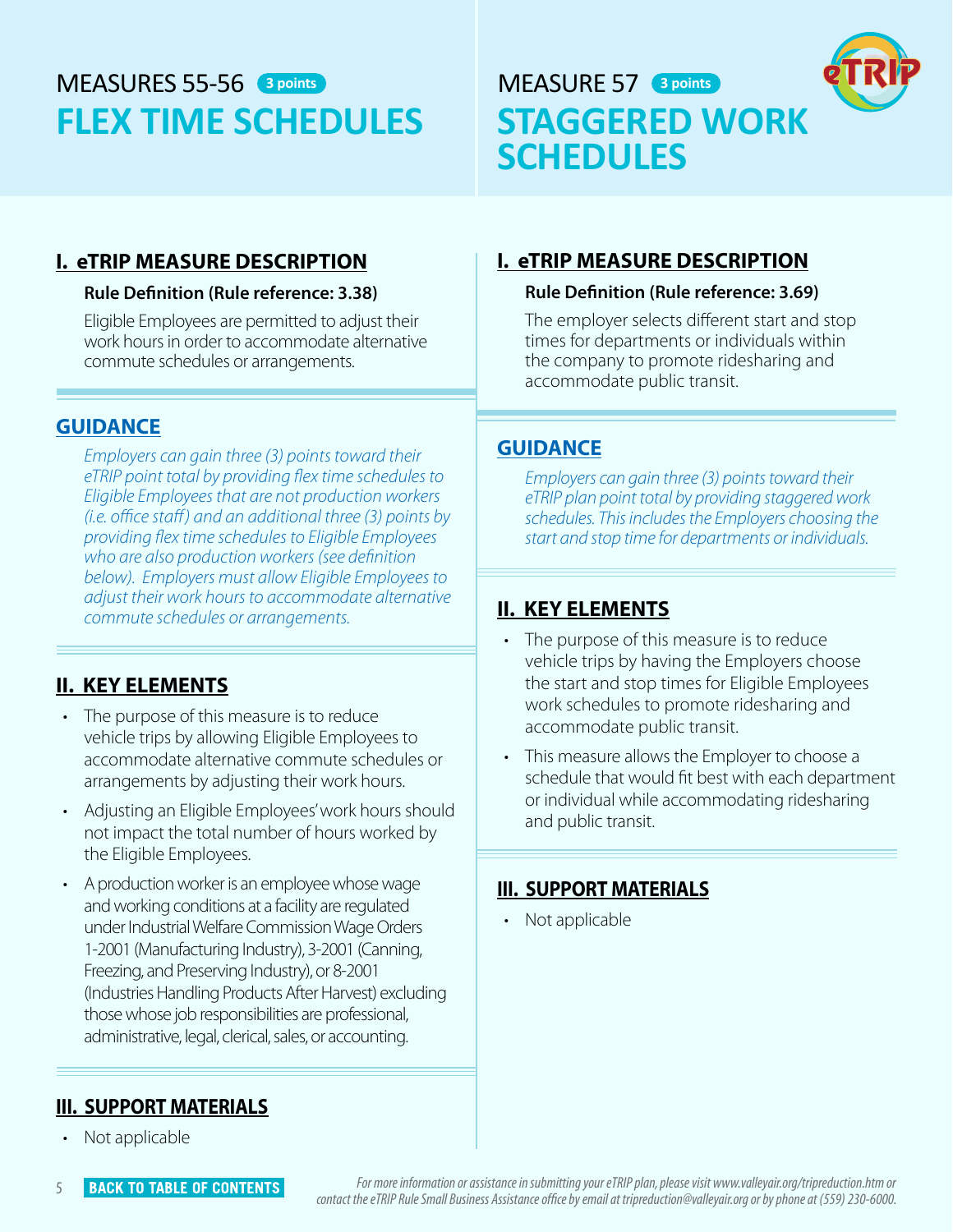# <span id="page-7-0"></span>MFASURFS 55-56 3 points **FLEX TIME SCHEDULES**





### **I. eTRIP MEASURE DESCRIPTION**

#### **Rule Definition (Rule reference: 3.38)**

Eligible Employees are permitted to adjust their work hours in order to accommodate alternative commute schedules or arrangements.

#### **GUIDANCE**

*Employers can gain three (3) points toward their eTRIP point total by providing flex time schedules to Eligible Employees that are not production workers (i.e. office staff ) and an additional three (3) points by providing flex time schedules to Eligible Employees who are also production workers (see definition below). Employers must allow Eligible Employees to adjust their work hours to accommodate alternative commute schedules or arrangements.* 

### **II. KEY ELEMENTS**

- The purpose of this measure is to reduce vehicle trips by allowing Eligible Employees to accommodate alternative commute schedules or arrangements by adjusting their work hours.
- Adjusting an Eligible Employees' work hours should not impact the total number of hours worked by the Eligible Employees.
- A production worker is an employee whose wage and working conditions at a facility are regulated under Industrial Welfare Commission Wage Orders 1-2001 (Manufacturing Industry), 3-2001 (Canning, Freezing, and Preserving Industry), or 8-2001 (Industries Handling Products After Harvest) excluding those whose job responsibilities are professional, administrative, legal, clerical, sales, or accounting.

### **I. eTRIP MEASURE DESCRIPTION**

#### **Rule Definition (Rule reference: 3.69)**

The employer selects different start and stop times for departments or individuals within the company to promote ridesharing and accommodate public transit.

#### **GUIDANCE**

*Employers can gain three (3) points toward their eTRIP plan point total by providing staggered work schedules. This includes the Employers choosing the start and stop time for departments or individuals.* 

### **II. KEY ELEMENTS**

- The purpose of this measure is to reduce vehicle trips by having the Employers choose the start and stop times for Eligible Employees work schedules to promote ridesharing and accommodate public transit.
- This measure allows the Employer to choose a schedule that would fit best with each department or individual while accommodating ridesharing and public transit.

#### **III. SUPPORT MATERIALS**

• Not applicable

#### **III. SUPPORT MATERIALS**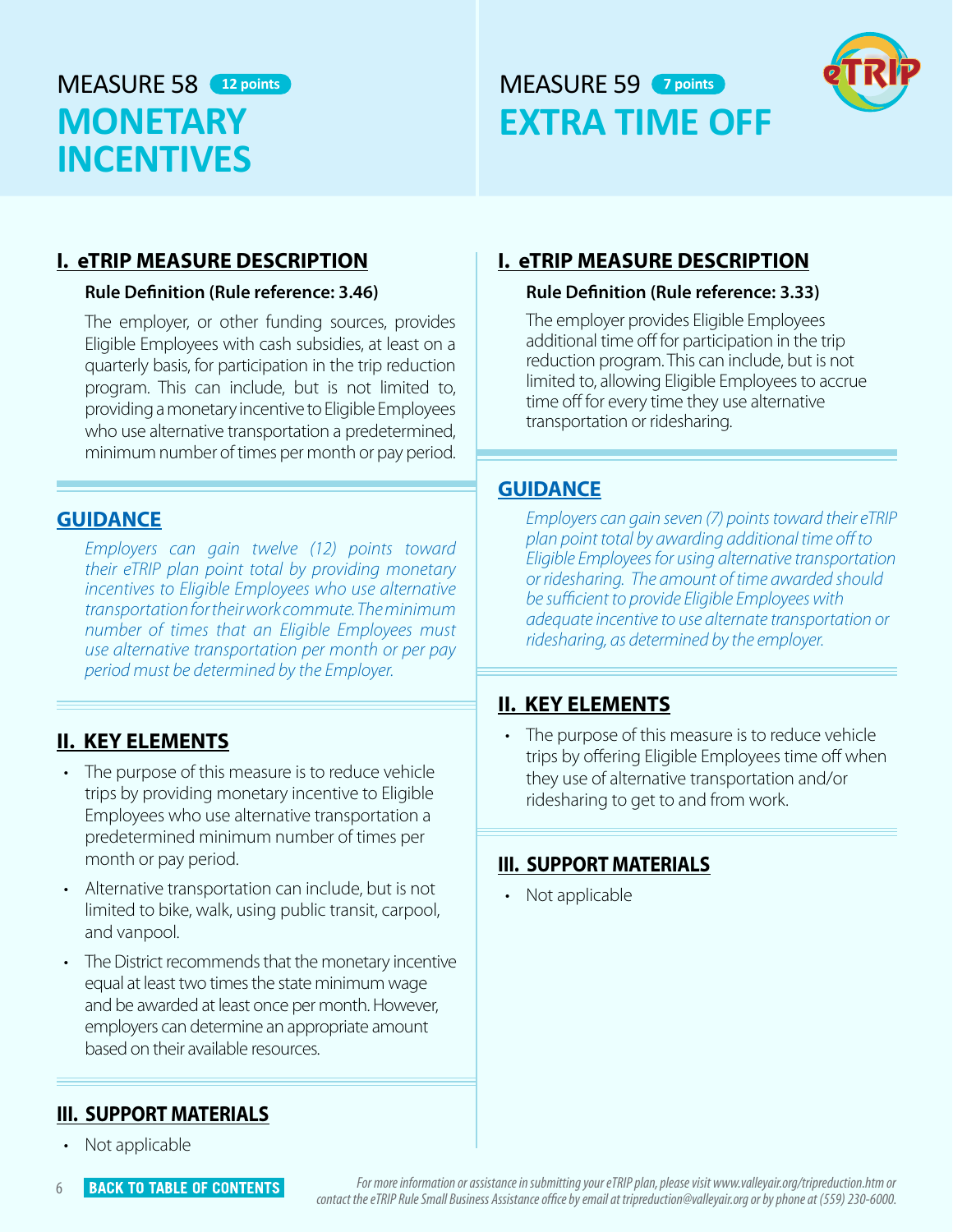# <span id="page-8-0"></span>MEASURE 58 (12 points) **MONETARY INCENTIVES**

# **12 points 12 points 7 points EXTRA TIME OFF**



#### **I. eTRIP MEASURE DESCRIPTION**

#### **Rule Definition (Rule reference: 3.46)**

The employer, or other funding sources, provides Eligible Employees with cash subsidies, at least on a quarterly basis, for participation in the trip reduction program. This can include, but is not limited to, providing a monetary incentive to Eligible Employees who use alternative transportation a predetermined, minimum number of times per month or pay period.

#### **GUIDANCE**

*Employers can gain twelve (12) points toward their eTRIP plan point total by providing monetary incentives to Eligible Employees who use alternative transportation for their work commute. The minimum number of times that an Eligible Employees must use alternative transportation per month or per pay period must be determined by the Employer.* 

### **II. KEY ELEMENTS**

- The purpose of this measure is to reduce vehicle trips by providing monetary incentive to Eligible Employees who use alternative transportation a predetermined minimum number of times per month or pay period.
- Alternative transportation can include, but is not limited to bike, walk, using public transit, carpool, and vanpool.
- The District recommends that the monetary incentive equal at least two times the state minimum wage and be awarded at least once per month. However, employers can determine an appropriate amount based on their available resources.

### **I. eTRIP MEASURE DESCRIPTION**

#### **Rule Definition (Rule reference: 3.33)**

The employer provides Eligible Employees additional time off for participation in the trip reduction program. This can include, but is not limited to, allowing Eligible Employees to accrue time off for every time they use alternative transportation or ridesharing.

#### **GUIDANCE**

*Employers can gain seven (7) points toward their eTRIP plan point total by awarding additional time off to Eligible Employees for using alternative transportation or ridesharing. The amount of time awarded should be sufficient to provide Eligible Employees with adequate incentive to use alternate transportation or ridesharing, as determined by the employer.* 

#### **II. KEY ELEMENTS**

• The purpose of this measure is to reduce vehicle trips by offering Eligible Employees time off when they use of alternative transportation and/or ridesharing to get to and from work.

#### **III. SUPPORT MATERIALS**

• Not applicable

#### **III. SUPPORT MATERIALS**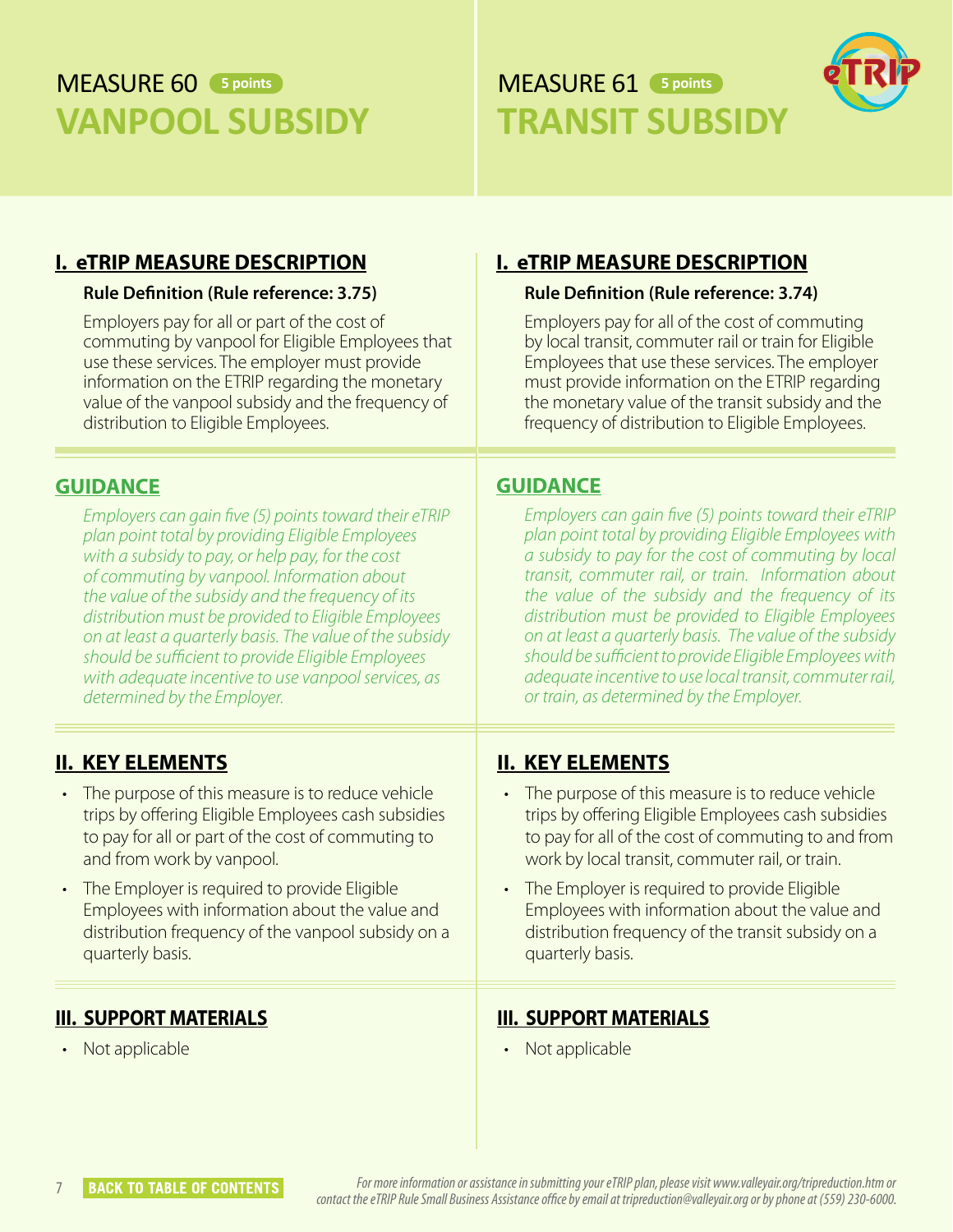# <span id="page-9-0"></span>**MEASURE 60** 5 points **VANPOOL SUBSIDY**

# MEASURE 61 **5 points 5 pointsTRANSIT SUBSIDY**



### **I. eTRIP MEASURE DESCRIPTION**

#### **Rule Definition (Rule reference: 3.75)**

Employers pay for all or part of the cost of commuting by vanpool for Eligible Employees that use these services. The employer must provide information on the ETRIP regarding the monetary value of the vanpool subsidy and the frequency of distribution to Eligible Employees.

#### **GUIDANCE**

*Employers can gain five (5) points toward their eTRIP plan point total by providing Eligible Employees with a subsidy to pay, or help pay, for the cost of commuting by vanpool. Information about the value of the subsidy and the frequency of its distribution must be provided to Eligible Employees on at least a quarterly basis. The value of the subsidy should be sufficient to provide Eligible Employees with adequate incentive to use vanpool services, as determined by the Employer.* 

### **II. KEY ELEMENTS**

- The purpose of this measure is to reduce vehicle trips by offering Eligible Employees cash subsidies to pay for all or part of the cost of commuting to and from work by vanpool.
- The Employer is required to provide Eligible Employees with information about the value and distribution frequency of the vanpool subsidy on a quarterly basis.

#### **III. SUPPORT MATERIALS**

• Not applicable

### **I. eTRIP MEASURE DESCRIPTION**

#### **Rule Definition (Rule reference: 3.74)**

Employers pay for all of the cost of commuting by local transit, commuter rail or train for Eligible Employees that use these services. The employer must provide information on the ETRIP regarding the monetary value of the transit subsidy and the frequency of distribution to Eligible Employees.

#### **GUIDANCE**

*Employers can gain five (5) points toward their eTRIP plan point total by providing Eligible Employees with a subsidy to pay for the cost of commuting by local transit, commuter rail, or train. Information about the value of the subsidy and the frequency of its distribution must be provided to Eligible Employees on at least a quarterly basis. The value of the subsidy should be sufficient to provide Eligible Employees with adequate incentive to use local transit, commuter rail, or train, as determined by the Employer.* 

### **II. KEY ELEMENTS**

- The purpose of this measure is to reduce vehicle trips by offering Eligible Employees cash subsidies to pay for all of the cost of commuting to and from work by local transit, commuter rail, or train.
- The Employer is required to provide Eligible Employees with information about the value and distribution frequency of the transit subsidy on a quarterly basis.

#### **III. SUPPORT MATERIALS**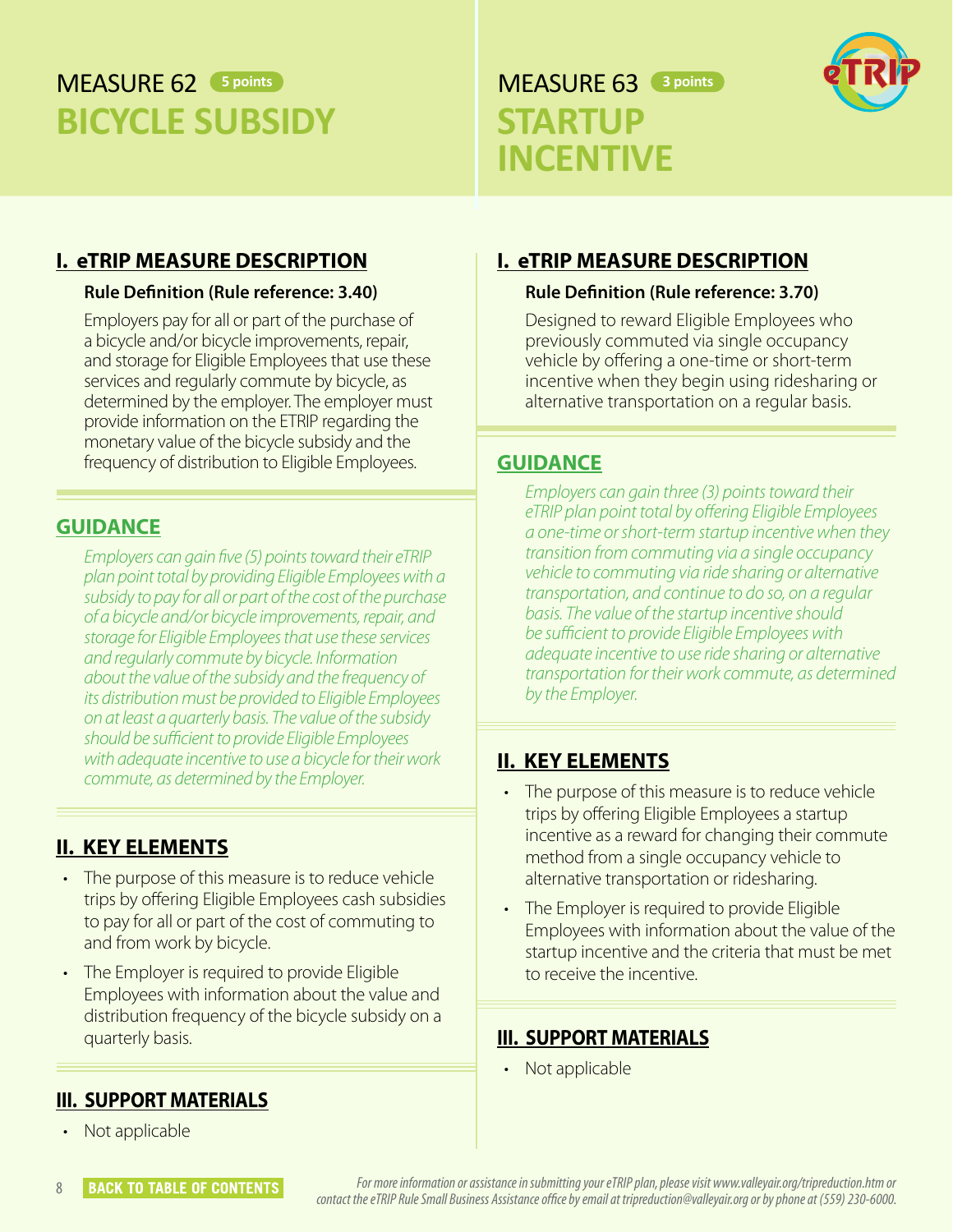# <span id="page-10-0"></span>**MFASURF 62** 5 points **BICYCLE SUBSIDY**

# **5 points 3 points 3 points STARTUP INCENTIVE**



#### **I. eTRIP MEASURE DESCRIPTION**

#### **Rule Definition (Rule reference: 3.40)**

Employers pay for all or part of the purchase of a bicycle and/or bicycle improvements, repair, and storage for Eligible Employees that use these services and regularly commute by bicycle, as determined by the employer. The employer must provide information on the ETRIP regarding the monetary value of the bicycle subsidy and the frequency of distribution to Eligible Employees.

#### **GUIDANCE**

*Employers can gain five (5) points toward their eTRIP plan point total by providing Eligible Employees with a subsidy to pay for all or part of the cost of the purchase of a bicycle and/or bicycle improvements, repair, and storage for Eligible Employees that use these services and regularly commute by bicycle. Information about the value of the subsidy and the frequency of its distribution must be provided to Eligible Employees on at least a quarterly basis. The value of the subsidy should be sufficient to provide Eligible Employees with adequate incentive to use a bicycle for their work commute, as determined by the Employer.* 

#### **II. KEY ELEMENTS**

- The purpose of this measure is to reduce vehicle trips by offering Eligible Employees cash subsidies to pay for all or part of the cost of commuting to and from work by bicycle.
- The Employer is required to provide Eligible Employees with information about the value and distribution frequency of the bicycle subsidy on a quarterly basis.

### **I. eTRIP MEASURE DESCRIPTION**

#### **Rule Definition (Rule reference: 3.70)**

Designed to reward Eligible Employees who previously commuted via single occupancy vehicle by offering a one-time or short-term incentive when they begin using ridesharing or alternative transportation on a regular basis.

#### **GUIDANCE**

*Employers can gain three (3) points toward their eTRIP plan point total by offering Eligible Employees a one-time or short-term startup incentive when they transition from commuting via a single occupancy vehicle to commuting via ride sharing or alternative transportation, and continue to do so, on a regular basis. The value of the startup incentive should be sufficient to provide Eligible Employees with adequate incentive to use ride sharing or alternative transportation for their work commute, as determined by the Employer.* 

#### **II. KEY ELEMENTS**

- The purpose of this measure is to reduce vehicle trips by offering Eligible Employees a startup incentive as a reward for changing their commute method from a single occupancy vehicle to alternative transportation or ridesharing.
- The Employer is required to provide Eligible Employees with information about the value of the startup incentive and the criteria that must be met to receive the incentive.

#### **III. SUPPORT MATERIALS**

• Not applicable

#### **III. SUPPORT MATERIALS**

Not applicable

8 **BACK TO TABLE OF CONTENTS** *For more information or assistance in submitting your eTRIP plan, please visit www.valleyair.org/tripreduction.htm or contact the eTRIP Rule Small Business Assistance office by email at tripreduction@valleyair.org or by phone at (559) 230-6000.*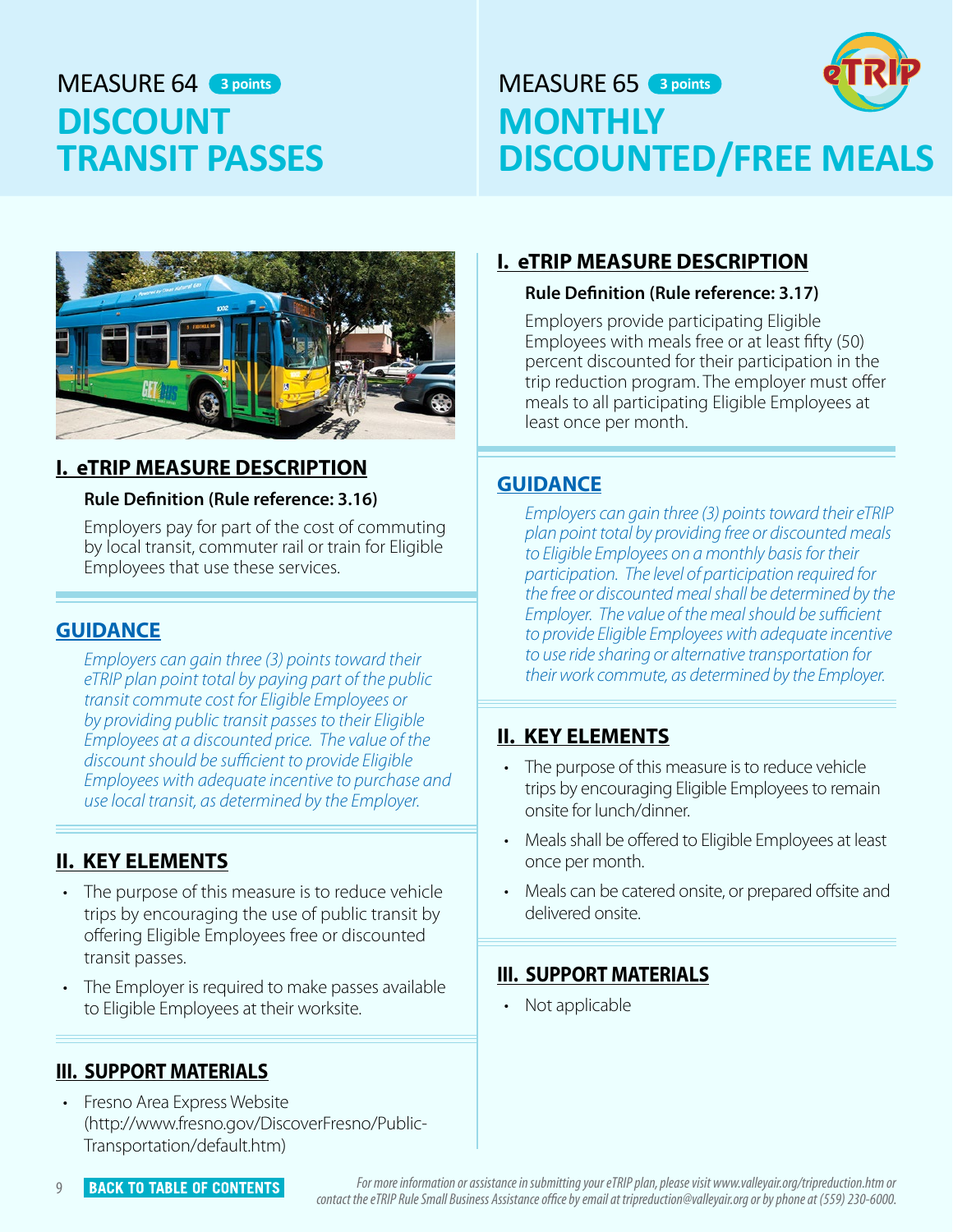# <span id="page-11-0"></span>MFASURF 64 3 points **DISCOUNT TRANSIT PASSES**

# **3 points 3 points 3 points 3 points MONTHLY DISCOUNTED/FREE MEALS**



### **I. eTRIP MEASURE DESCRIPTION**

#### **Rule Definition (Rule reference: 3.16)**

Employers pay for part of the cost of commuting by local transit, commuter rail or train for Eligible Employees that use these services.

### **GUIDANCE**

*Employers can gain three (3) points toward their eTRIP plan point total by paying part of the public transit commute cost for Eligible Employees or by providing public transit passes to their Eligible Employees at a discounted price. The value of the discount should be sufficient to provide Eligible Employees with adequate incentive to purchase and use local transit, as determined by the Employer.* 

### **II. KEY ELEMENTS**

- The purpose of this measure is to reduce vehicle trips by encouraging the use of public transit by offering Eligible Employees free or discounted transit passes.
- The Employer is required to make passes available to Eligible Employees at their worksite.

### **III. SUPPORT MATERIALS**

• Fresno Area Express Website (http://www.fresno.gov/DiscoverFresno/Public-Transportation/default.htm)

### **I. eTRIP MEASURE DESCRIPTION**

#### **Rule Definition (Rule reference: 3.17)**

Employers provide participating Eligible Employees with meals free or at least fifty (50) percent discounted for their participation in the trip reduction program. The employer must offer meals to all participating Eligible Employees at least once per month.

### **GUIDANCE**

*Employers can gain three (3) points toward their eTRIP plan point total by providing free or discounted meals to Eligible Employees on a monthly basis for their participation. The level of participation required for the free or discounted meal shall be determined by the Employer. The value of the meal should be sufficient to provide Eligible Employees with adequate incentive to use ride sharing or alternative transportation for their work commute, as determined by the Employer.* 

### **II. KEY ELEMENTS**

- The purpose of this measure is to reduce vehicle trips by encouraging Eligible Employees to remain onsite for lunch/dinner.
- Meals shall be offered to Eligible Employees at least once per month.
- Meals can be catered onsite, or prepared offsite and delivered onsite.

#### **III. SUPPORT MATERIALS**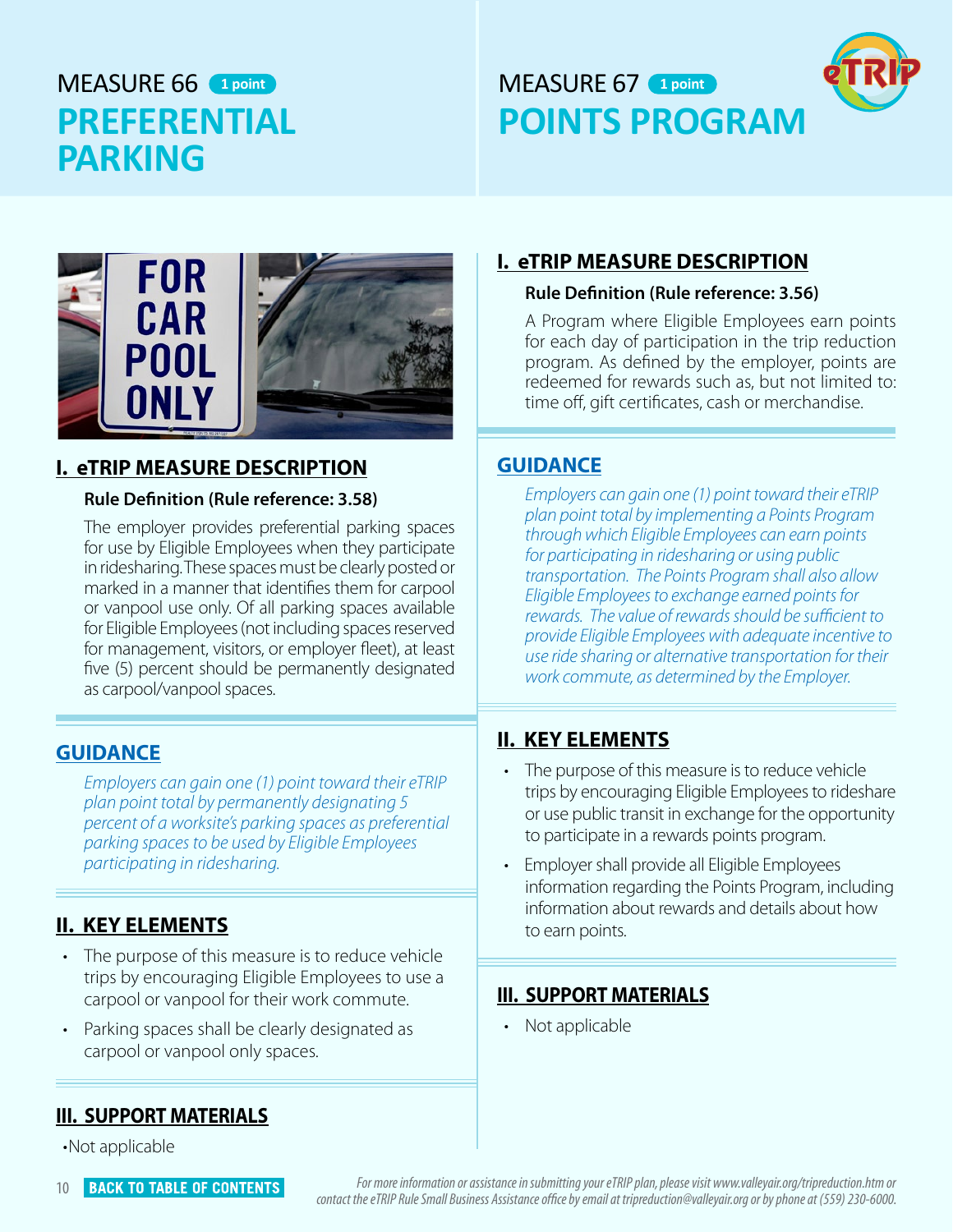# <span id="page-12-0"></span>MFASURF 66 1 point **PREFERENTIAL PARKING**

# **1 point 1 point 1 point 1 point 1 point POINTS PROGRAM**





#### **I. eTRIP MEASURE DESCRIPTION**

#### **Rule Definition (Rule reference: 3.58)**

The employer provides preferential parking spaces for use by Eligible Employees when they participate in ridesharing. These spaces must be clearly posted or marked in a manner that identifies them for carpool or vanpool use only. Of all parking spaces available for Eligible Employees (not including spaces reserved for management, visitors, or employer fleet), at least five (5) percent should be permanently designated as carpool/vanpool spaces.

#### **GUIDANCE**

*Employers can gain one (1) point toward their eTRIP plan point total by permanently designating 5 percent of a worksite's parking spaces as preferential parking spaces to be used by Eligible Employees participating in ridesharing.* 

### **II. KEY ELEMENTS**

- The purpose of this measure is to reduce vehicle trips by encouraging Eligible Employees to use a carpool or vanpool for their work commute.
- Parking spaces shall be clearly designated as carpool or vanpool only spaces.

#### **III. SUPPORT MATERIALS**

•Not applicable

# **I. eTRIP MEASURE DESCRIPTION**

#### **Rule Definition (Rule reference: 3.56)**

A Program where Eligible Employees earn points for each day of participation in the trip reduction program. As defined by the employer, points are redeemed for rewards such as, but not limited to: time off, gift certificates, cash or merchandise.

#### **GUIDANCE**

*Employers can gain one (1) point toward their eTRIP plan point total by implementing a Points Program through which Eligible Employees can earn points for participating in ridesharing or using public transportation. The Points Program shall also allow Eligible Employees to exchange earned points for rewards. The value of rewards should be sufficient to provide Eligible Employees with adequate incentive to use ride sharing or alternative transportation for their work commute, as determined by the Employer.* 

#### **II. KEY ELEMENTS**

- The purpose of this measure is to reduce vehicle trips by encouraging Eligible Employees to rideshare or use public transit in exchange for the opportunity to participate in a rewards points program.
- Employer shall provide all Eligible Employees information regarding the Points Program, including information about rewards and details about how to earn points.

#### **III. SUPPORT MATERIALS**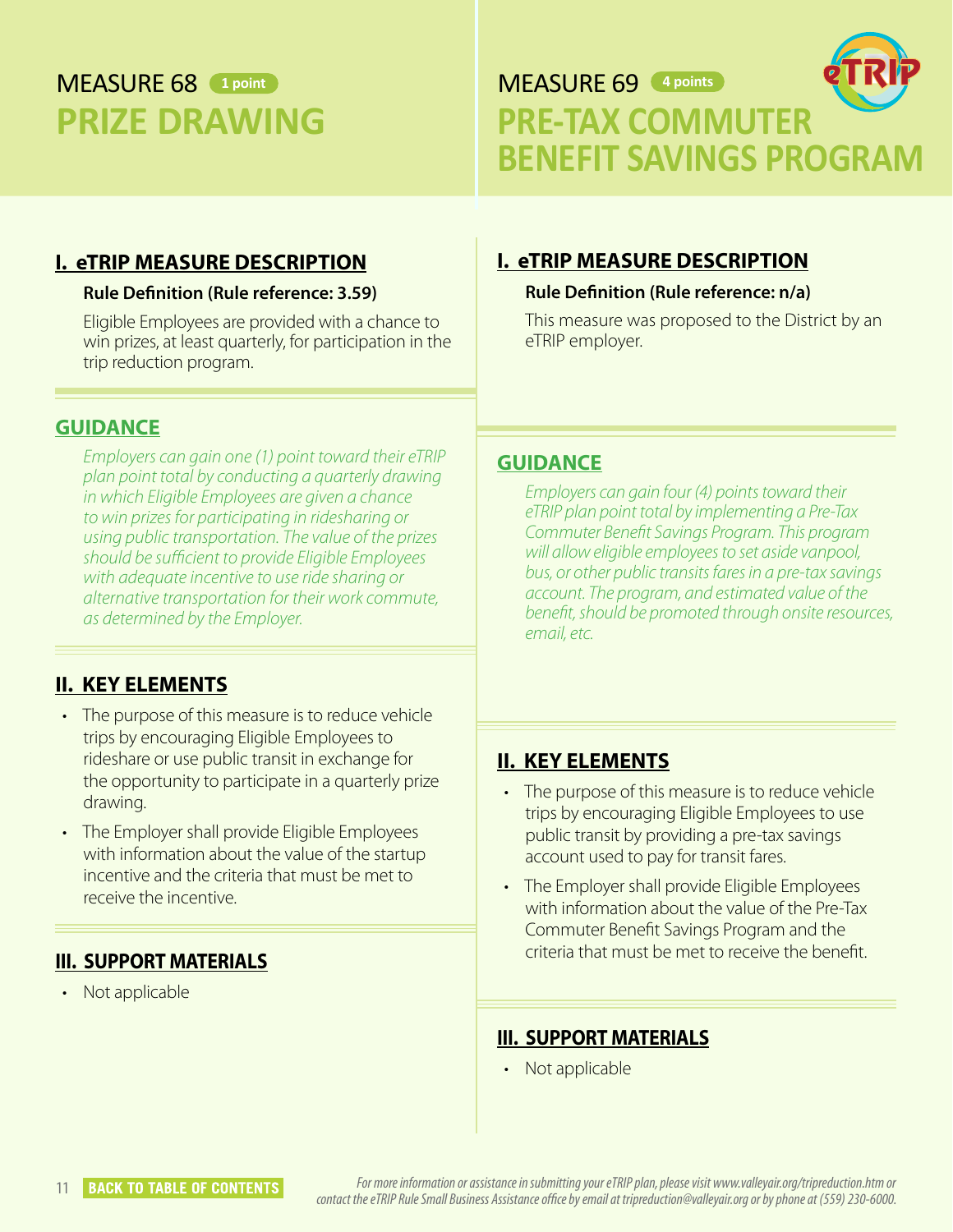# <span id="page-13-0"></span>MEASURE 68 **1 point PRIZE DRAWING**

MEASURE 69 **4 pointsPRE-TAX COMMUTER BENEFIT SAVINGS PROGRAM**

#### **I. eTRIP MEASURE DESCRIPTION**

#### **Rule Definition (Rule reference: 3.59)**

Eligible Employees are provided with a chance to win prizes, at least quarterly, for participation in the trip reduction program.

#### **GUIDANCE**

*Employers can gain one (1) point toward their eTRIP plan point total by conducting a quarterly drawing in which Eligible Employees are given a chance to win prizes for participating in ridesharing or using public transportation. The value of the prizes should be sufficient to provide Eligible Employees with adequate incentive to use ride sharing or alternative transportation for their work commute, as determined by the Employer.* 

#### **II. KEY ELEMENTS**

- The purpose of this measure is to reduce vehicle trips by encouraging Eligible Employees to rideshare or use public transit in exchange for the opportunity to participate in a quarterly prize drawing.
- The Employer shall provide Eligible Employees with information about the value of the startup incentive and the criteria that must be met to receive the incentive.

#### **III. SUPPORT MATERIALS**

• Not applicable

# **I. eTRIP MEASURE DESCRIPTION**

#### **Rule Definition (Rule reference: n/a)**

This measure was proposed to the District by an eTRIP employer.

#### **GUIDANCE**

*Employers can gain four (4) points toward their eTRIP plan point total by implementing a Pre-Tax Commuter Benefit Savings Program. This program will allow eligible employees to set aside vanpool, bus, or other public transits fares in a pre-tax savings account. The program, and estimated value of the benefit, should be promoted through onsite resources, email, etc.* 

#### **II. KEY ELEMENTS**

- The purpose of this measure is to reduce vehicle trips by encouraging Eligible Employees to use public transit by providing a pre-tax savings account used to pay for transit fares.
- The Employer shall provide Eligible Employees with information about the value of the Pre-Tax Commuter Benefit Savings Program and the criteria that must be met to receive the benefit.

#### **III. SUPPORT MATERIALS**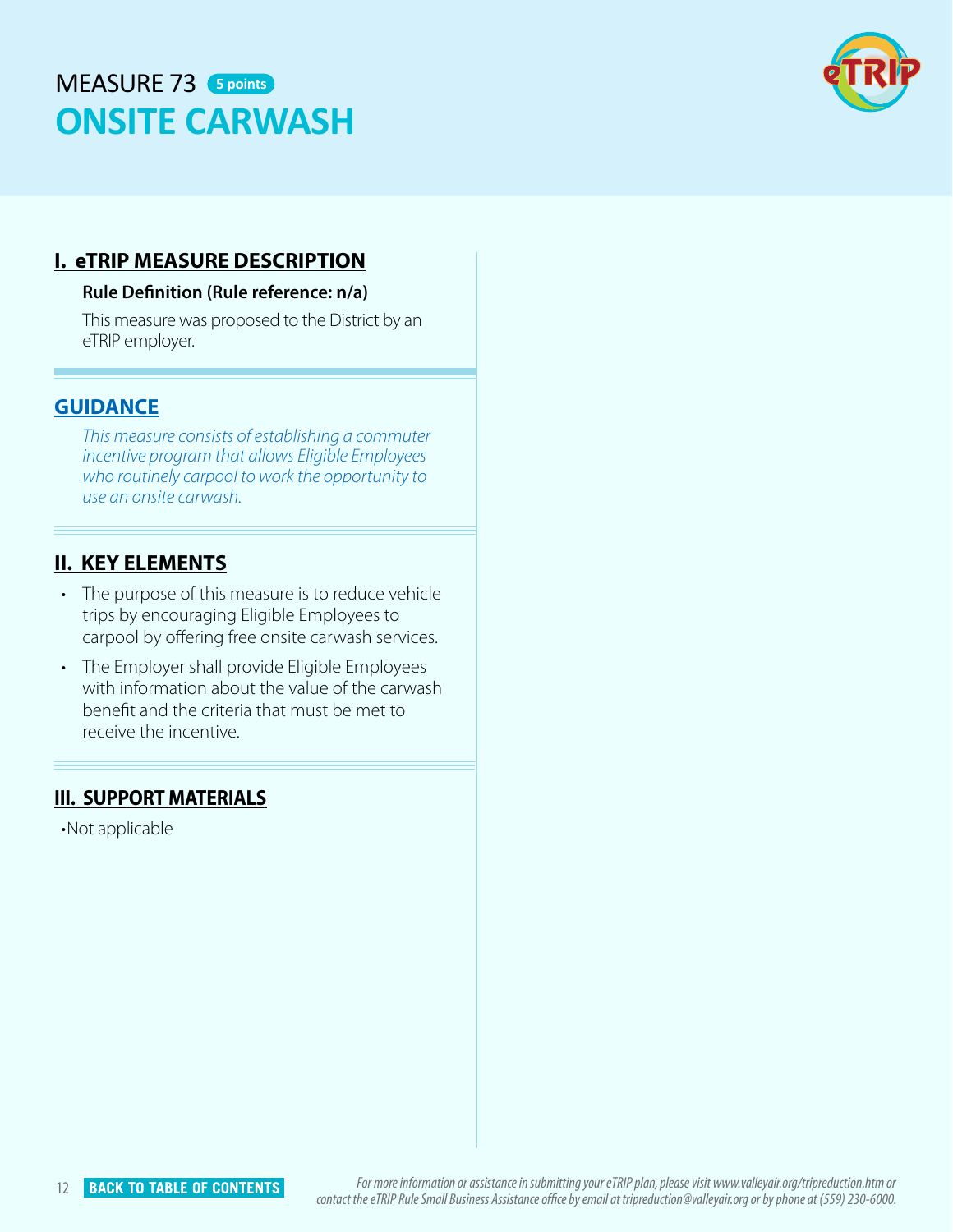# <span id="page-14-0"></span>MEASURE 73 **5 pointsONSITE CARWASH**



#### **I. eTRIP MEASURE DESCRIPTION**

#### **Rule Definition (Rule reference: n/a)**

This measure was proposed to the District by an eTRIP employer.

#### **GUIDANCE**

*This measure consists of establishing a commuter incentive program that allows Eligible Employees who routinely carpool to work the opportunity to use an onsite carwash.* 

#### **II. KEY ELEMENTS**

- The purpose of this measure is to reduce vehicle trips by encouraging Eligible Employees to carpool by offering free onsite carwash services.
- The Employer shall provide Eligible Employees with information about the value of the carwash benefit and the criteria that must be met to receive the incentive.

#### **III. SUPPORT MATERIALS**